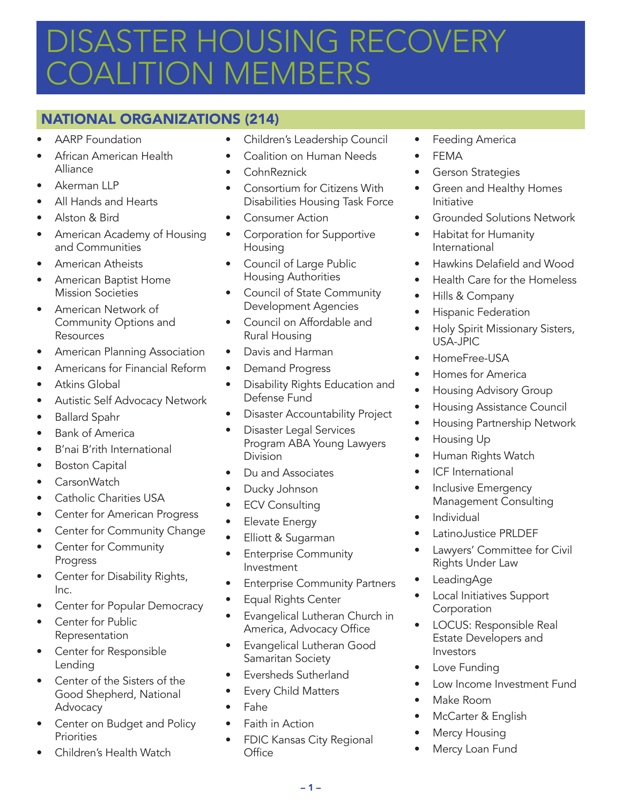# DISASTER HOUSING RECOVERY *OALITION MEMBERS*

# NATIONAL ORGANIZATIONS (214)

- **AARP** Foundation
- African American Health Alliance
- Akerman LLP
- All Hands and Hearts
- Alston & Bird
- American Academy of Housing and Communities
- American Atheists
- American Baptist Home Mission Societies
- American Network of Community Options and Resources
- American Planning Association
- Americans for Financial Reform
- Atkins Global
- Autistic Self Advocacy Network
- Ballard Spahr
- Bank of America
- B'nai B'rith International
- Boston Capital
- CarsonWatch
- Catholic Charities USA
- Center for American Progress
- Center for Community Change
- Center for Community Progress
- Center for Disability Rights, Inc.
- Center for Popular Democracy
- Center for Public Representation
- Center for Responsible Lending
- Center of the Sisters of the Good Shepherd, National Advocacy
- Center on Budget and Policy **Priorities**
- Children's Health Watch
- Children's Leadership Council
- Coalition on Human Needs
- CohnReznick
- Consortium for Citizens With Disabilities Housing Task Force
- Consumer Action
- Corporation for Supportive **Housing**
- Council of Large Public Housing Authorities
- Council of State Community Development Agencies
- Council on Affordable and Rural Housing
- Davis and Harman
- Demand Progress
- Disability Rights Education and Defense Fund
- Disaster Accountability Project
- Disaster Legal Services Program ABA Young Lawyers Division
- Du and Associates
- Ducky Johnson
- ECV Consulting
- Elevate Energy
- Elliott & Sugarman
- Enterprise Community Investment
- Enterprise Community Partners
- Equal Rights Center
- Evangelical Lutheran Church in America, Advocacy Office
- Evangelical Lutheran Good Samaritan Society
- Eversheds Sutherland
- Every Child Matters
- Fahe
- Faith in Action
- FDIC Kansas City Regional **Office**
- Feeding America
- **FFMA**
- Gerson Strategies
- Green and Healthy Homes Initiative
- Grounded Solutions Network
- Habitat for Humanity International
- Hawkins Delafield and Wood
- Health Care for the Homeless
- Hills & Company
- Hispanic Federation
- Holy Spirit Missionary Sisters, USA-JPIC
- HomeFree-USA
- Homes for America
- Housing Advisory Group
- Housing Assistance Council
- Housing Partnership Network
- Housing Up
- Human Rights Watch
- ICF International
- Inclusive Emergency Management Consulting
- **Individual**
- LatinoJustice PRLDEF
- Lawyers' Committee for Civil Rights Under Law
- LeadingAge
- Local Initiatives Support **Corporation**
- LOCUS: Responsible Real Estate Developers and Investors
- Love Funding
- Low Income Investment Fund
- Make Room
- McCarter & English
- **Mercy Housing**
- Mercy Loan Fund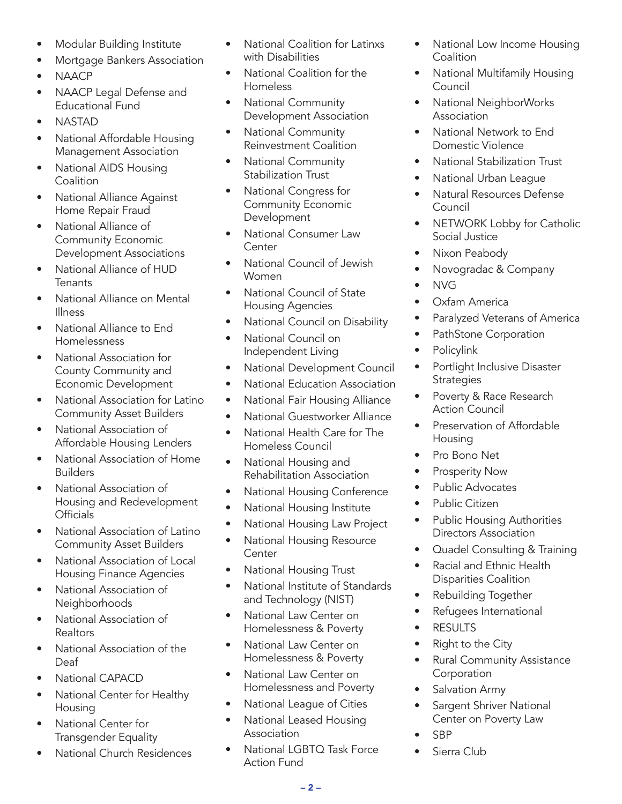- Modular Building Institute
- Mortgage Bankers Association
- NAACP
- NAACP Legal Defense and Educational Fund
- NASTAD
- National Affordable Housing Management Association
- National AIDS Housing **Coalition**
- National Alliance Against Home Repair Fraud
- National Alliance of Community Economic Development Associations
- National Alliance of HUD **Tenants**
- National Alliance on Mental Illness
- National Alliance to End Homelessness
- National Association for County Community and Economic Development
- National Association for Latino Community Asset Builders
- National Association of Affordable Housing Lenders
- National Association of Home Builders
- National Association of Housing and Redevelopment **Officials**
- National Association of Latino Community Asset Builders
- National Association of Local Housing Finance Agencies
- National Association of **Neighborhoods**
- National Association of **Realtors**
- National Association of the Deaf
- National CAPACD
- National Center for Healthy Housing
- National Center for Transgender Equality
- National Church Residences
- National Coalition for Latinxs with Disabilities
- National Coalition for the Homeless
- National Community Development Association
- National Community Reinvestment Coalition
- National Community Stabilization Trust
- National Congress for Community Economic Development
- National Consumer Law Center
- National Council of Jewish Women
- National Council of State Housing Agencies
- National Council on Disability
- National Council on Independent Living
- National Development Council
- National Education Association
- National Fair Housing Alliance
- National Guestworker Alliance
- National Health Care for The Homeless Council
- National Housing and Rehabilitation Association
- National Housing Conference
- National Housing Institute
- National Housing Law Project
- National Housing Resource **Center**
- National Housing Trust
- National Institute of Standards and Technology (NIST)
- National Law Center on Homelessness & Poverty
- National Law Center on Homelessness & Poverty
- National Law Center on Homelessness and Poverty
- National League of Cities
- National Leased Housing Association
- National LGBTQ Task Force Action Fund
- National Low Income Housing **Coalition**
- National Multifamily Housing Council
- National NeighborWorks Association
- National Network to End Domestic Violence
- National Stabilization Trust
- National Urban League
- Natural Resources Defense Council
- NETWORK Lobby for Catholic Social Justice
- Nixon Peabody
- Novogradac & Company
- NVG
- Oxfam America
- Paralyzed Veterans of America
- PathStone Corporation
- Policylink
- Portlight Inclusive Disaster **Strategies**
- Poverty & Race Research Action Council
- Preservation of Affordable Housing
- Pro Bono Net
- Prosperity Now
- Public Advocates
- Public Citizen
- Public Housing Authorities Directors Association
- Quadel Consulting & Training
- Racial and Ethnic Health Disparities Coalition
- Rebuilding Together
- Refugees International
- **RESULTS**
- Right to the City
- Rural Community Assistance **Corporation**
- Salvation Army
- Sargent Shriver National Center on Poverty Law
- SBP
- Sierra Club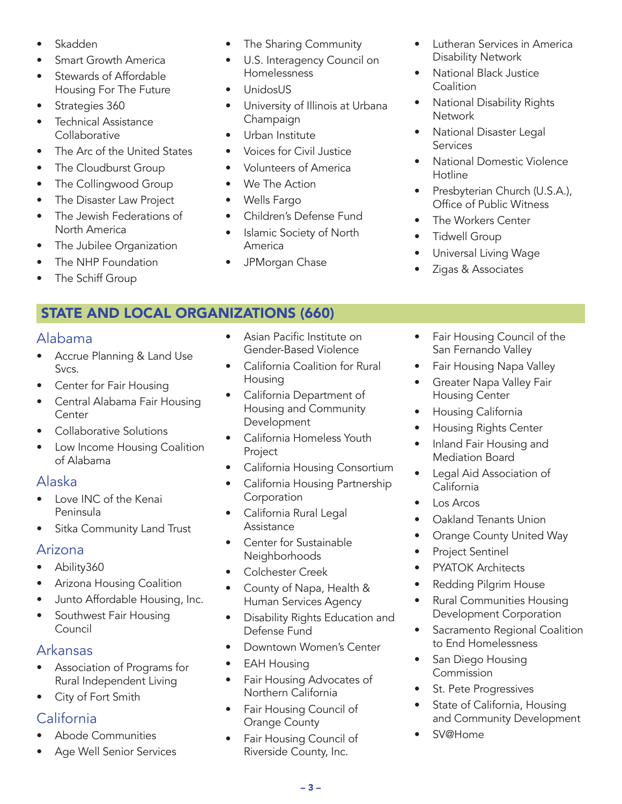- **Skadden**
- **Smart Growth America**
- Stewards of Affordable Housing For The Future
- Strategies 360
- Technical Assistance **Collaborative**
- The Arc of the United States
- The Cloudburst Group
- The Collingwood Group
- The Disaster Law Project
- The Jewish Federations of North America
- The Jubilee Organization
- The NHP Foundation
- The Schiff Group

# STATE AND LOCAL ORGANIZATIONS (660)

#### Alabama

- Accrue Planning & Land Use Svcs.
- Center for Fair Housing
- Central Alabama Fair Housing Center
- Collaborative Solutions
- Low Income Housing Coalition of Alabama

### Alaska

- Love INC of the Kenai Peninsula
- Sitka Community Land Trust

### Arizona

- Ability360
- Arizona Housing Coalition
- Junto Affordable Housing, Inc.
- Southwest Fair Housing Council

# Arkansas

- Association of Programs for Rural Independent Living
- City of Fort Smith

# California

- Abode Communities
- Age Well Senior Services
- Asian Pacific Institute on Gender-Based Violence
- California Coalition for Rural Housing
- California Department of Housing and Community **Development**
- California Homeless Youth Project
- California Housing Consortium
- California Housing Partnership Corporation
- California Rural Legal Assistance
- Center for Sustainable Neighborhoods
- Colchester Creek
- County of Napa, Health & Human Services Agency
- Disability Rights Education and Defense Fund
- Downtown Women's Center
- EAH Housing
- Fair Housing Advocates of Northern California
- Fair Housing Council of Orange County
- Fair Housing Council of Riverside County, Inc.
- Lutheran Services in America Disability Network
- National Black Justice **Coalition**
- National Disability Rights **Network**
- National Disaster Legal **Services**
- National Domestic Violence Hotline
- Presbyterian Church (U.S.A.), Office of Public Witness
- The Workers Center
- Tidwell Group
- Universal Living Wage
- Zigas & Associates
- Fair Housing Council of the San Fernando Valley
- Fair Housing Napa Valley
- Greater Napa Valley Fair Housing Center
- Housing California
- Housing Rights Center
- Inland Fair Housing and Mediation Board
- Legal Aid Association of California
- Los Arcos
- Oakland Tenants Union
- Orange County United Way
- Project Sentinel
- PYATOK Architects
- Redding Pilgrim House
- Rural Communities Housing Development Corporation
- Sacramento Regional Coalition to End Homelessness
- San Diego Housing Commission
- St. Pete Progressives
- State of California, Housing and Community Development
- SV@Home
- America
- We The Action • Wells Fargo
	- Children's Defense Fund

• Voices for Civil Justice • Volunteers of America

• The Sharing Community • U.S. Interagency Council on

University of Illinois at Urbana

Homelessness • UnidosUS

Champaign • Urban Institute

- Islamic Society of North
- JPMorgan Chase
-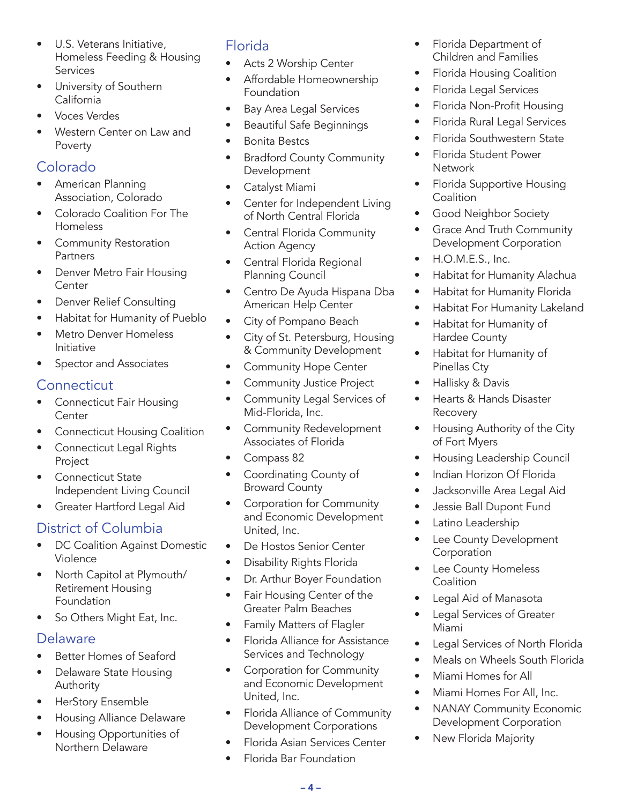- U.S. Veterans Initiative, Homeless Feeding & Housing Services
- University of Southern California
- Voces Verdes
- Western Center on Law and Poverty

## Colorado

- American Planning Association, Colorado
- Colorado Coalition For The Homeless
- Community Restoration **Partners**
- Denver Metro Fair Housing Center
- Denver Relief Consulting
- Habitat for Humanity of Pueblo
- Metro Denver Homeless Initiative
- Spector and Associates

#### **Connecticut**

- Connecticut Fair Housing **Center**
- Connecticut Housing Coalition
- Connecticut Legal Rights Project
- Connecticut State Independent Living Council
- Greater Hartford Legal Aid

# District of Columbia

- DC Coalition Against Domestic Violence
- North Capitol at Plymouth/ Retirement Housing Foundation
- So Others Might Eat, Inc.

#### Delaware

- Better Homes of Seaford
- Delaware State Housing Authority
- HerStory Ensemble
- Housing Alliance Delaware
- Housing Opportunities of Northern Delaware

# Florida

- Acts 2 Worship Center
- Affordable Homeownership Foundation
- Bay Area Legal Services
- Beautiful Safe Beginnings
- Bonita Bestcs
- Bradford County Community Development
- Catalyst Miami
- Center for Independent Living of North Central Florida
- Central Florida Community Action Agency
- Central Florida Regional Planning Council
- Centro De Ayuda Hispana Dba American Help Center
- City of Pompano Beach
- City of St. Petersburg, Housing & Community Development
- Community Hope Center
- Community Justice Project
- Community Legal Services of Mid-Florida, Inc.
- Community Redevelopment Associates of Florida
- Compass 82
- Coordinating County of Broward County
- Corporation for Community and Economic Development United, Inc.
- De Hostos Senior Center
- Disability Rights Florida
- Dr. Arthur Boyer Foundation
- Fair Housing Center of the Greater Palm Beaches
- Family Matters of Flagler
- Florida Alliance for Assistance Services and Technology
- Corporation for Community and Economic Development United, Inc.
- Florida Alliance of Community Development Corporations
- Florida Asian Services Center
- Florida Bar Foundation
- Florida Department of Children and Families
- Florida Housing Coalition
- Florida Legal Services
- Florida Non-Profit Housing
- Florida Rural Legal Services
- Florida Southwestern State
- Florida Student Power **Network**
- Florida Supportive Housing **Coalition**
- Good Neighbor Society
- Grace And Truth Community Development Corporation
- H.O.M.E.S., Inc.
- Habitat for Humanity Alachua
- Habitat for Humanity Florida
- Habitat For Humanity Lakeland
- Habitat for Humanity of Hardee County
- Habitat for Humanity of Pinellas Cty
- Hallisky & Davis
- Hearts & Hands Disaster Recovery
- Housing Authority of the City of Fort Myers
- Housing Leadership Council
- Indian Horizon Of Florida
- Jacksonville Area Legal Aid
- Jessie Ball Dupont Fund
- Latino Leadership
- Lee County Development Corporation
- Lee County Homeless **Coalition**
- Legal Aid of Manasota
- Legal Services of Greater Miami
- Legal Services of North Florida
- Meals on Wheels South Florida
- Miami Homes for All
- Miami Homes For All, Inc.
- NANAY Community Economic Development Corporation
- New Florida Majority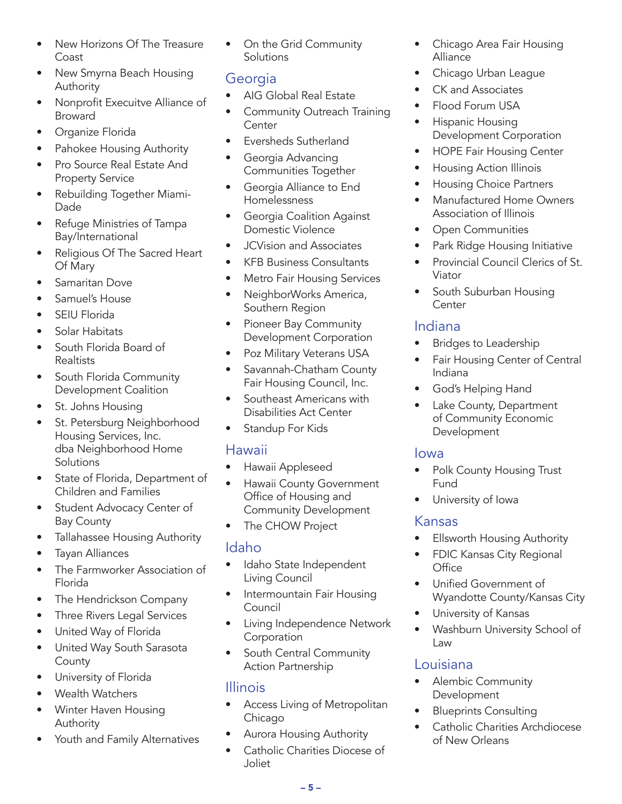- New Horizons Of The Treasure Coast
- New Smyrna Beach Housing Authority
- Nonprofit Execuitve Alliance of Broward
- Organize Florida
- Pahokee Housing Authority
- Pro Source Real Estate And Property Service
- Rebuilding Together Miami-Dade
- Refuge Ministries of Tampa Bay/International
- Religious Of The Sacred Heart Of Mary
- Samaritan Dove
- Samuel's House
- SEIU Florida
- Solar Habitats
- South Florida Board of Realtists
- South Florida Community Development Coalition
- St. Johns Housing
- St. Petersburg Neighborhood Housing Services, Inc. dba Neighborhood Home **Solutions**
- State of Florida, Department of Children and Families
- Student Advocacy Center of Bay County
- Tallahassee Housing Authority
- Tayan Alliances
- The Farmworker Association of Florida
- The Hendrickson Company
- Three Rivers Legal Services
- United Way of Florida
- United Way South Sarasota **County**
- University of Florida
- Wealth Watchers
- Winter Haven Housing Authority
- Youth and Family Alternatives

• On the Grid Community **Solutions** 

## **Georgia**

- AIG Global Real Estate
- Community Outreach Training Center
- Eversheds Sutherland
- Georgia Advancing Communities Together
- Georgia Alliance to End **Homelessness**
- Georgia Coalition Against Domestic Violence
- JCVision and Associates
- KFB Business Consultants
- Metro Fair Housing Services
- NeighborWorks America, Southern Region
- Pioneer Bay Community Development Corporation
- Poz Military Veterans USA
- Savannah-Chatham County Fair Housing Council, Inc.
- Southeast Americans with Disabilities Act Center
- Standup For Kids

#### Hawaii

- Hawaii Appleseed
- Hawaii County Government Office of Housing and Community Development
- The CHOW Project

### Idaho

- Idaho State Independent Living Council
- Intermountain Fair Housing Council
- Living Independence Network Corporation
- South Central Community Action Partnership

#### Illinois

- Access Living of Metropolitan Chicago
- Aurora Housing Authority
- Catholic Charities Diocese of Joliet
- Chicago Area Fair Housing Alliance
- Chicago Urban League
- CK and Associates
- Flood Forum USA
- Hispanic Housing Development Corporation
- HOPE Fair Housing Center
- Housing Action Illinois
- Housing Choice Partners
- Manufactured Home Owners Association of Illinois
- Open Communities
- Park Ridge Housing Initiative
- Provincial Council Clerics of St. Viator
- South Suburban Housing **Center**

#### Indiana

- Bridges to Leadership
- Fair Housing Center of Central Indiana
- God's Helping Hand
- Lake County, Department of Community Economic Development

#### Iowa

- Polk County Housing Trust Fund
- University of Iowa

#### Kansas

- **Ellsworth Housing Authority**
- FDIC Kansas City Regional **Office**
- Unified Government of Wyandotte County/Kansas City
- University of Kansas
- Washburn University School of Law

# Louisiana

- Alembic Community Development
- Blueprints Consulting
- Catholic Charities Archdiocese of New Orleans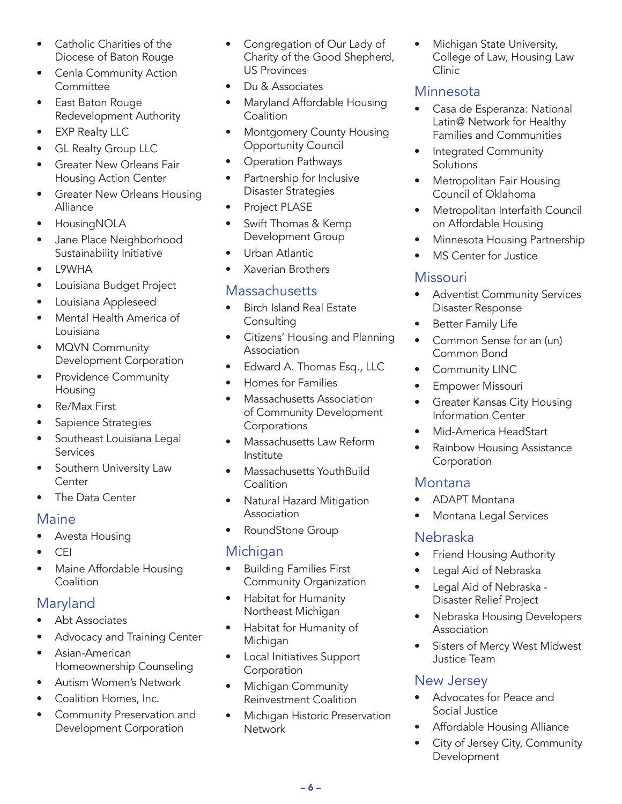- Catholic Charities of the Diocese of Baton Rouge
- Cenla Community Action **Committee**
- East Baton Rouge Redevelopment Authority
- EXP Realty LLC
- GL Realty Group LLC
- Greater New Orleans Fair Housing Action Center
- Greater New Orleans Housing Alliance
- HousingNOLA
- Jane Place Neighborhood Sustainability Initiative
- L9WHA
- Louisiana Budget Project
- Louisiana Appleseed
- Mental Health America of Louisiana
- MQVN Community Development Corporation
- Providence Community Housing
- Re/Max First
- Sapience Strategies
- Southeast Louisiana Legal Services
- Southern University Law **Center**
- The Data Center

#### **Maine**

- Avesta Housing
- CEI
- Maine Affordable Housing **Coalition**

# Maryland

- Abt Associates
- Advocacy and Training Center
- Asian-American Homeownership Counseling
- Autism Women's Network
- Coalition Homes, Inc.
- Community Preservation and Development Corporation
- Congregation of Our Lady of Charity of the Good Shepherd, US Provinces
- Du & Associates
- Maryland Affordable Housing Coalition
- Montgomery County Housing Opportunity Council
- Operation Pathways
- Partnership for Inclusive Disaster Strategies
- Project PLASE
- Swift Thomas & Kemp Development Group
- Urban Atlantic
- Xaverian Brothers

# **Massachusetts**

- Birch Island Real Estate **Consulting**
- Citizens' Housing and Planning Association
- Edward A. Thomas Esq., LLC
- Homes for Families
- Massachusetts Association of Community Development Corporations
- Massachusetts Law Reform Institute
- Massachusetts YouthBuild Coalition
- Natural Hazard Mitigation Association
- RoundStone Group

# Michigan

- Building Families First Community Organization
- Habitat for Humanity Northeast Michigan
- Habitat for Humanity of Michigan
- Local Initiatives Support Corporation
- Michigan Community Reinvestment Coalition
- Michigan Historic Preservation **Network**

• Michigan State University, College of Law, Housing Law Clinic

# Minnesota

- Casa de Esperanza: National Latin@ Network for Healthy Families and Communities
- Integrated Community **Solutions**
- Metropolitan Fair Housing Council of Oklahoma
- Metropolitan Interfaith Council on Affordable Housing
- Minnesota Housing Partnership
- **MS Center for Justice**

# **Missouri**

- Adventist Community Services Disaster Response
- Better Family Life
- Common Sense for an (un) Common Bond
- Community LINC
- Empower Missouri
- Greater Kansas City Housing Information Center
- Mid-America HeadStart
- Rainbow Housing Assistance **Corporation**

### Montana

- ADAPT Montana
- Montana Legal Services

# Nebraska

- Friend Housing Authority
- Legal Aid of Nebraska
- Legal Aid of Nebraska Disaster Relief Project
- Nebraska Housing Developers Association
- Sisters of Mercy West Midwest Justice Team

# New Jersey

- Advocates for Peace and Social Justice
- Affordable Housing Alliance
- City of Jersey City, Community Development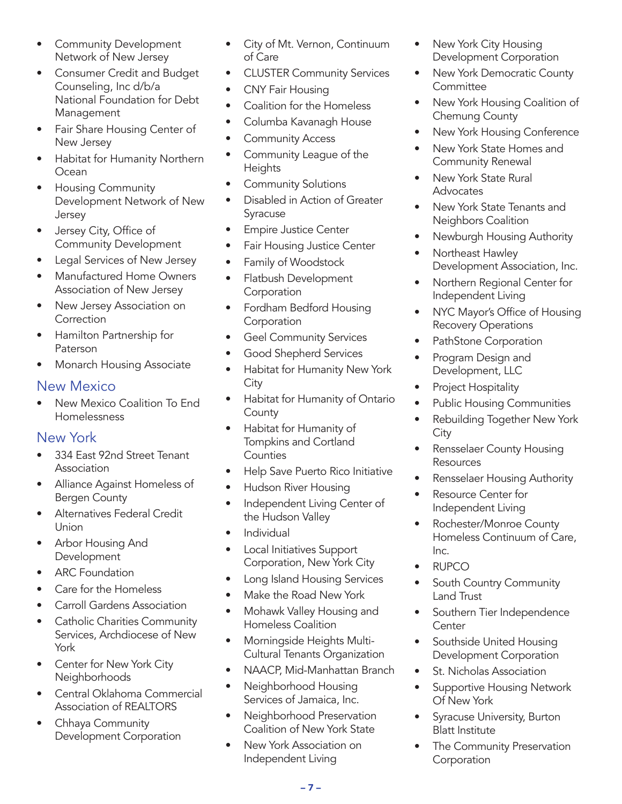- Community Development Network of New Jersey
- Consumer Credit and Budget Counseling, Inc d/b/a National Foundation for Debt Management
- Fair Share Housing Center of New Jersey
- Habitat for Humanity Northern **Ocean**
- Housing Community Development Network of New Jersey
- Jersey City, Office of Community Development
- Legal Services of New Jersey
- Manufactured Home Owners Association of New Jersey
- New Jersey Association on **Correction**
- Hamilton Partnership for Paterson
- Monarch Housing Associate

#### New Mexico

• New Mexico Coalition To End Homelessness

### New York

- 334 East 92nd Street Tenant Association
- Alliance Against Homeless of Bergen County
- Alternatives Federal Credit Union
- Arbor Housing And Development
- **ARC** Foundation
- Care for the Homeless
- Carroll Gardens Association
- Catholic Charities Community Services, Archdiocese of New York
- Center for New York City Neighborhoods
- Central Oklahoma Commercial Association of REALTORS
- Chhaya Community Development Corporation
- City of Mt. Vernon, Continuum of Care
- CLUSTER Community Services
- CNY Fair Housing
- Coalition for the Homeless
- Columba Kavanagh House
- Community Access
- Community League of the **Heights**
- Community Solutions
- Disabled in Action of Greater Syracuse
- Empire Justice Center
- Fair Housing Justice Center
- Family of Woodstock
- Flatbush Development **Corporation**
- Fordham Bedford Housing Corporation
- Geel Community Services
- Good Shepherd Services
- Habitat for Humanity New York City
- Habitat for Humanity of Ontario **County**
- Habitat for Humanity of Tompkins and Cortland **Counties**
- Help Save Puerto Rico Initiative
- Hudson River Housing
- Independent Living Center of the Hudson Valley
- Individual
- Local Initiatives Support Corporation, New York City
- Long Island Housing Services
- Make the Road New York
- Mohawk Valley Housing and Homeless Coalition
- Morningside Heights Multi-Cultural Tenants Organization
- NAACP, Mid-Manhattan Branch
- Neighborhood Housing Services of Jamaica, Inc.
- Neighborhood Preservation Coalition of New York State
- New York Association on Independent Living
- New York City Housing Development Corporation
- New York Democratic County **Committee**
- New York Housing Coalition of Chemung County
- New York Housing Conference
- New York State Homes and Community Renewal
- New York State Rural **Advocates**
- New York State Tenants and Neighbors Coalition
- Newburgh Housing Authority
- Northeast Hawley Development Association, Inc.
- Northern Regional Center for Independent Living
- NYC Mayor's Office of Housing Recovery Operations
- PathStone Corporation
- Program Design and Development, LLC
- Project Hospitality
- Public Housing Communities
- Rebuilding Together New York **City**
- Rensselaer County Housing **Resources**
- Rensselaer Housing Authority
- Resource Center for Independent Living
- Rochester/Monroe County Homeless Continuum of Care, Inc.
- RUPCO
- South Country Community Land Trust
- Southern Tier Independence **Center**
- Southside United Housing Development Corporation
- St. Nicholas Association
- Supportive Housing Network Of New York
- Syracuse University, Burton Blatt Institute
- The Community Preservation **Corporation**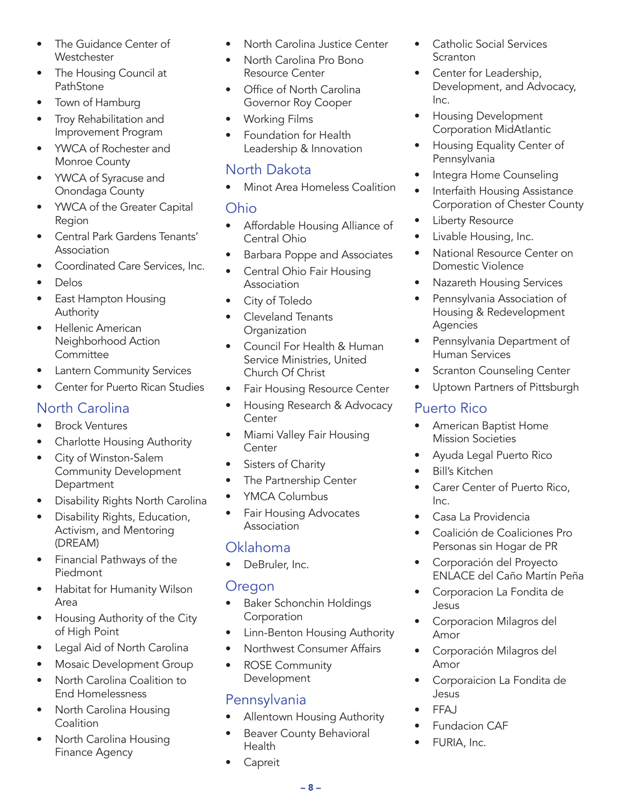- The Guidance Center of **Westchester**
- The Housing Council at PathStone
- Town of Hamburg
- Troy Rehabilitation and Improvement Program
- YWCA of Rochester and Monroe County
- YWCA of Syracuse and Onondaga County
- YWCA of the Greater Capital Region
- Central Park Gardens Tenants' Association
- Coordinated Care Services, Inc.
- Delos
- East Hampton Housing Authority
- Hellenic American Neighborhood Action **Committee**
- Lantern Community Services
- Center for Puerto Rican Studies

# North Carolina

- Brock Ventures
- Charlotte Housing Authority
- City of Winston-Salem Community Development **Department**
- Disability Rights North Carolina
- Disability Rights, Education, Activism, and Mentoring (DREAM)
- Financial Pathways of the Piedmont
- Habitat for Humanity Wilson Area
- Housing Authority of the City of High Point
- Legal Aid of North Carolina
- Mosaic Development Group
- North Carolina Coalition to End Homelessness
- North Carolina Housing **Coalition**
- North Carolina Housing Finance Agency
- North Carolina Justice Center
- North Carolina Pro Bono Resource Center
- Office of North Carolina Governor Roy Cooper
- Working Films
- Foundation for Health Leadership & Innovation

## North Dakota

• Minot Area Homeless Coalition

#### Ohio

- Affordable Housing Alliance of Central Ohio
- Barbara Poppe and Associates
- Central Ohio Fair Housing Association
- City of Toledo
- Cleveland Tenants **Organization**
- Council For Health & Human Service Ministries, United Church Of Christ
- Fair Housing Resource Center
- Housing Research & Advocacy **Center**
- Miami Valley Fair Housing **Center**
- Sisters of Charity
- The Partnership Center
- YMCA Columbus
- Fair Housing Advocates Association

### Oklahoma

• DeBruler, Inc.

#### Oregon

- Baker Schonchin Holdings **Corporation**
- Linn-Benton Housing Authority
- Northwest Consumer Affairs
- ROSE Community Development

# Pennsylvania

- Allentown Housing Authority
- Beaver County Behavioral Health
- **Capreit**
- Catholic Social Services **Scranton**
- Center for Leadership, Development, and Advocacy, Inc.
- Housing Development Corporation MidAtlantic
- Housing Equality Center of Pennsylvania
- Integra Home Counseling
- Interfaith Housing Assistance Corporation of Chester County
- Liberty Resource
- Livable Housing, Inc.
- National Resource Center on Domestic Violence
- Nazareth Housing Services
- Pennsylvania Association of Housing & Redevelopment Agencies
- Pennsylvania Department of Human Services
- **Scranton Counseling Center**
- Uptown Partners of Pittsburgh

# Puerto Rico

- American Baptist Home Mission Societies
- Ayuda Legal Puerto Rico
- Bill's Kitchen
- Carer Center of Puerto Rico, Inc.
- Casa La Providencia
- Coalición de Coaliciones Pro Personas sin Hogar de PR
- Corporación del Proyecto ENLACE del Caño Martín Peña
- Corporacion La Fondita de Jesus
- Corporacion Milagros del Amor
- Corporación Milagros del Amor
- Corporaicion La Fondita de Jesus
- FFAJ
- **Fundacion CAF**
- FURIA, Inc.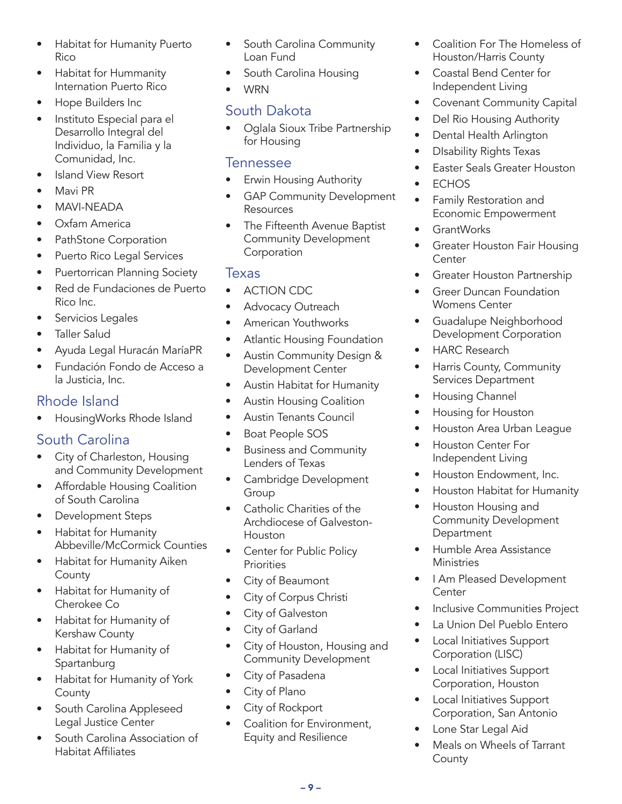- Habitat for Humanity Puerto Rico
- Habitat for Hummanity Internation Puerto Rico
- Hope Builders Inc
- Instituto Especial para el Desarrollo Integral del Individuo, la Familia y la Comunidad, Inc.
- Island View Resort
- Mavi PR
- MAVI-NEADA
- Oxfam America
- PathStone Corporation
- Puerto Rico Legal Services
- Puertorrican Planning Society
- Red de Fundaciones de Puerto Rico Inc.
- Servicios Legales
- Taller Salud
- Ayuda Legal Huracán MaríaPR
- Fundación Fondo de Acceso a la Justicia, Inc.

## Rhode Island

• HousingWorks Rhode Island

# South Carolina

- City of Charleston, Housing and Community Development
- Affordable Housing Coalition of South Carolina
- Development Steps
- Habitat for Humanity Abbeville/McCormick Counties
- Habitat for Humanity Aiken County
- Habitat for Humanity of Cherokee Co
- Habitat for Humanity of Kershaw County
- Habitat for Humanity of Spartanburg
- Habitat for Humanity of York **County**
- South Carolina Appleseed Legal Justice Center
- South Carolina Association of Habitat Affiliates
- South Carolina Community Loan Fund
- South Carolina Housing
- WRN

# South Dakota

• Oglala Sioux Tribe Partnership for Housing

#### Tennessee

- Erwin Housing Authority
- **GAP Community Development** Resources
- The Fifteenth Avenue Baptist Community Development **Corporation**

#### Texas

- ACTION CDC
- Advocacy Outreach
- American Youthworks
- Atlantic Housing Foundation
- Austin Community Design & Development Center
- Austin Habitat for Humanity
- Austin Housing Coalition
- Austin Tenants Council
- Boat People SOS
- Business and Community Lenders of Texas
- Cambridge Development **Group**
- Catholic Charities of the Archdiocese of Galveston-Houston
- Center for Public Policy **Priorities**
- City of Beaumont
- City of Corpus Christi
- City of Galveston
- City of Garland
- City of Houston, Housing and Community Development
- City of Pasadena
- City of Plano
- City of Rockport
- Coalition for Environment, Equity and Resilience
- Coalition For The Homeless of Houston/Harris County
- Coastal Bend Center for Independent Living
- Covenant Community Capital
- Del Rio Housing Authority
- Dental Health Arlington
- DIsability Rights Texas
- Easter Seals Greater Houston
- **ECHOS**
- Family Restoration and Economic Empowerment
- GrantWorks
- Greater Houston Fair Housing **Center**
- Greater Houston Partnership
- Greer Duncan Foundation Womens Center
- Guadalupe Neighborhood Development Corporation
- HARC Research
- Harris County, Community Services Department
- Housing Channel
- Housing for Houston
- Houston Area Urban League
- Houston Center For Independent Living
- Houston Endowment, Inc.
- Houston Habitat for Humanity
- Houston Housing and Community Development **Department**
- Humble Area Assistance **Ministries**
- I Am Pleased Development Center
- Inclusive Communities Project
- La Union Del Pueblo Entero
- Local Initiatives Support Corporation (LISC)
- Local Initiatives Support Corporation, Houston
- Local Initiatives Support Corporation, San Antonio
- Lone Star Legal Aid
- Meals on Wheels of Tarrant **County**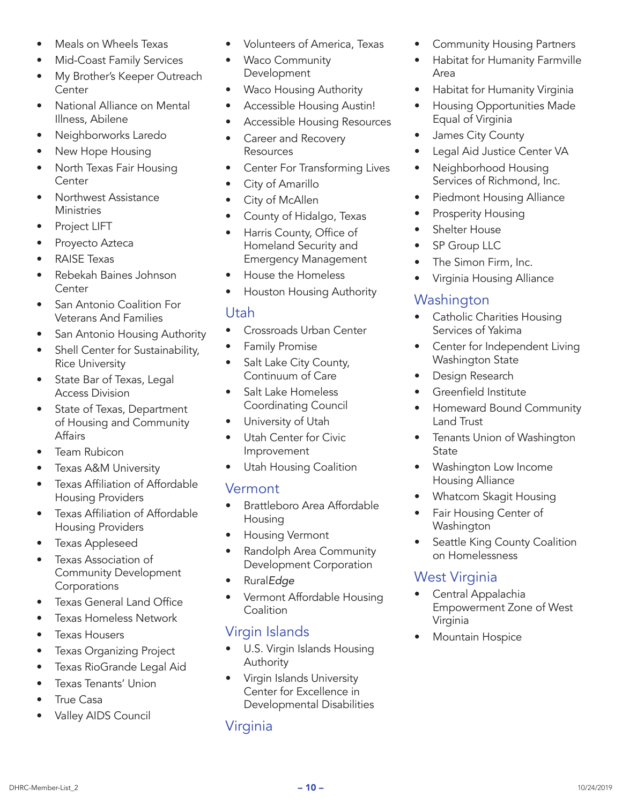- Meals on Wheels Texas
- Mid-Coast Family Services
- My Brother's Keeper Outreach **Center**
- National Alliance on Mental Illness, Abilene
- Neighborworks Laredo
- New Hope Housing
- North Texas Fair Housing **Center**
- Northwest Assistance **Ministries**
- Project LIFT
- Proyecto Azteca
- RAISE Texas
- Rebekah Baines Johnson **Center**
- San Antonio Coalition For Veterans And Families
- San Antonio Housing Authority
- Shell Center for Sustainability, Rice University
- State Bar of Texas, Legal Access Division
- State of Texas, Department of Housing and Community Affairs
- **Team Rubicon**
- Texas A&M University
- Texas Affiliation of Affordable Housing Providers
- Texas Affiliation of Affordable Housing Providers
- Texas Appleseed
- Texas Association of Community Development Corporations
- Texas General Land Office
- Texas Homeless Network
- Texas Housers
- Texas Organizing Project
- Texas RioGrande Legal Aid
- Texas Tenants' Union
- **True Casa**
- Valley AIDS Council
- Volunteers of America, Texas
- Waco Community Development
- Waco Housing Authority
- Accessible Housing Austin!
- Accessible Housing Resources
- Career and Recovery **Resources**
- Center For Transforming Lives
- City of Amarillo
- City of McAllen
- County of Hidalgo, Texas
- Harris County, Office of Homeland Security and Emergency Management
- House the Homeless
- Houston Housing Authority

#### Utah

- Crossroads Urban Center
- Family Promise
- Salt Lake City County, Continuum of Care
- Salt Lake Homeless Coordinating Council
- University of Utah
- Utah Center for Civic Improvement
- Utah Housing Coalition

#### Vermont

- Brattleboro Area Affordable Housing
- Housing Vermont
- Randolph Area Community Development Corporation
- Rural*Edge*
- Vermont Affordable Housing **Coalition**

# Virgin Islands

- U.S. Virgin Islands Housing Authority
- Virgin Islands University Center for Excellence in Developmental Disabilities

# Virginia

- Community Housing Partners
- Habitat for Humanity Farmville Area
- Habitat for Humanity Virginia
- Housing Opportunities Made Equal of Virginia
- James City County
- Legal Aid Justice Center VA
- Neighborhood Housing Services of Richmond, Inc.
- Piedmont Housing Alliance
- Prosperity Housing
- Shelter House
- **SP Group LLC**
- The Simon Firm, Inc.
- Virginia Housing Alliance

### Washington

- Catholic Charities Housing Services of Yakima
- Center for Independent Living Washington State
- Design Research
- Greenfield Institute
- Homeward Bound Community Land Trust
- Tenants Union of Washington State
- Washington Low Income Housing Alliance
- Whatcom Skagit Housing
- Fair Housing Center of Washington
- Seattle King County Coalition on Homelessness

# West Virginia

- Central Appalachia Empowerment Zone of West Virginia
- Mountain Hospice